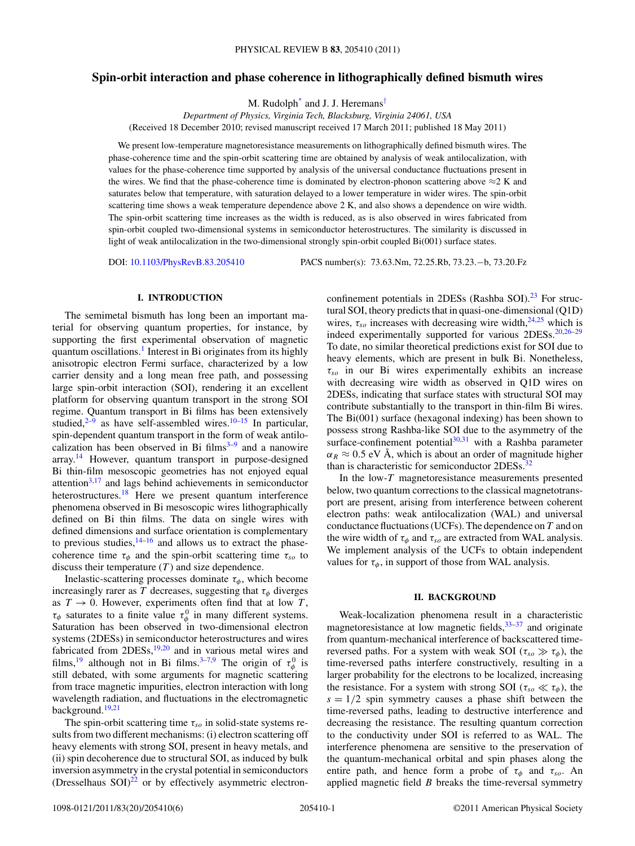# **Spin-orbit interaction and phase coherence in lithographically defined bismuth wires**

M. Rudolph<sup>\*</sup> and J. J. Heremans<sup>[†](#page-4-0)</sup>

*Department of Physics, Virginia Tech, Blacksburg, Virginia 24061, USA* (Received 18 December 2010; revised manuscript received 17 March 2011; published 18 May 2011)

We present low-temperature magnetoresistance measurements on lithographically defined bismuth wires. The phase-coherence time and the spin-orbit scattering time are obtained by analysis of weak antilocalization, with values for the phase-coherence time supported by analysis of the universal conductance fluctuations present in the wires. We find that the phase-coherence time is dominated by electron-phonon scattering above  $\approx$ 2 K and saturates below that temperature, with saturation delayed to a lower temperature in wider wires. The spin-orbit scattering time shows a weak temperature dependence above 2 K, and also shows a dependence on wire width. The spin-orbit scattering time increases as the width is reduced, as is also observed in wires fabricated from spin-orbit coupled two-dimensional systems in semiconductor heterostructures. The similarity is discussed in light of weak antilocalization in the two-dimensional strongly spin-orbit coupled Bi(001) surface states.

DOI: [10.1103/PhysRevB.83.205410](http://dx.doi.org/10.1103/PhysRevB.83.205410) PACS number(s): 73*.*63*.*Nm, 72*.*25*.*Rb, 73*.*23*.*−b, 73*.*20*.*Fz

# **I. INTRODUCTION**

The semimetal bismuth has long been an important material for observing quantum properties, for instance, by supporting the first experimental observation of magnetic quantum oscillations.<sup>1</sup> Interest in Bi originates from its highly anisotropic electron Fermi surface, characterized by a low carrier density and a long mean free path, and possessing large spin-orbit interaction (SOI), rendering it an excellent platform for observing quantum transport in the strong SOI regime. Quantum transport in Bi films has been extensively studied, $2\overline{-9}$  $2\overline{-9}$  as have self-assembled wires.<sup>[10–15](#page-5-0)</sup> In particular, spin-dependent quantum transport in the form of weak antilocalization has been observed in Bi films $3-9$  $3-9$  and a nanowire array.<sup>14</sup> However, quantum transport in purpose-designed Bi thin-film mesoscopic geometries has not enjoyed equal attention $3,17$  $3,17$  and lags behind achievements in semiconductor heterostructures.<sup>[18](#page-5-0)</sup> Here we present quantum interference phenomena observed in Bi mesoscopic wires lithographically defined on Bi thin films. The data on single wires with defined dimensions and surface orientation is complementary to previous studies, $14-16$  and allows us to extract the phasecoherence time  $\tau_{\phi}$  and the spin-orbit scattering time  $\tau_{so}$  to discuss their temperature  $(T)$  and size dependence.

Inelastic-scattering processes dominate  $\tau_{\phi}$ , which become increasingly rarer as *T* decreases, suggesting that  $\tau_{\phi}$  diverges as  $T \to 0$ . However, experiments often find that at low *T*,  $\tau_{\phi}$  saturates to a finite value  $\tau_{\phi}^{0}$  in many different systems. Saturation has been observed in two-dimensional electron systems (2DESs) in semiconductor heterostructures and wires fabricated from 2DESs,<sup>[19,20](#page-5-0)</sup> and in various metal wires and films,<sup>[19](#page-5-0)</sup> although not in Bi films.<sup>[3–7,](#page-4-0)[9](#page-5-0)</sup> The origin of  $\tau^0_\phi$  is still debated, with some arguments for magnetic scattering from trace magnetic impurities, electron interaction with long wavelength radiation, and fluctuations in the electromagnetic background.<sup>19,21</sup>

The spin-orbit scattering time  $\tau_{so}$  in solid-state systems results from two different mechanisms: (i) electron scattering off heavy elements with strong SOI, present in heavy metals, and (ii) spin decoherence due to structural SOI, as induced by bulk inversion asymmetry in the crystal potential in semiconductors (Dresselhaus  $SOI)^{22}$  $SOI)^{22}$  $SOI)^{22}$  or by effectively asymmetric electronconfinement potentials in 2DESs (Rashba SOI). $^{23}$  For structural SOI, theory predicts that in quasi-one-dimensional (Q1D) wires,  $\tau_{so}$  increases with decreasing wire width,  $24,25$  which is indeed experimentally supported for various 2DESs.<sup>20,26-29</sup> To date, no similar theoretical predictions exist for SOI due to heavy elements, which are present in bulk Bi. Nonetheless, *τso* in our Bi wires experimentally exhibits an increase with decreasing wire width as observed in Q1D wires on 2DESs, indicating that surface states with structural SOI may contribute substantially to the transport in thin-film Bi wires. The Bi(001) surface (hexagonal indexing) has been shown to possess strong Rashba-like SOI due to the asymmetry of the surface-confinement potential $30,31$  with a Rashba parameter  $\alpha_R \approx 0.5$  eV Å, which is about an order of magnitude higher than is characteristic for semiconductor 2DESs.<sup>32</sup>

In the low-*T* magnetoresistance measurements presented below, two quantum corrections to the classical magnetotransport are present, arising from interference between coherent electron paths: weak antilocalization (WAL) and universal conductance fluctuations (UCFs). The dependence on *T* and on the wire width of  $\tau_{\phi}$  and  $\tau_{so}$  are extracted from WAL analysis. We implement analysis of the UCFs to obtain independent values for  $\tau_{\phi}$ , in support of those from WAL analysis.

#### **II. BACKGROUND**

Weak-localization phenomena result in a characteristic magnetoresistance at low magnetic fields,  $33-37$  and originate from quantum-mechanical interference of backscattered timereversed paths. For a system with weak SOI ( $\tau_{so} \gg \tau_{\phi}$ ), the time-reversed paths interfere constructively, resulting in a larger probability for the electrons to be localized, increasing the resistance. For a system with strong SOI ( $\tau_{so} \ll \tau_{\phi}$ ), the  $s = 1/2$  spin symmetry causes a phase shift between the time-reversed paths, leading to destructive interference and decreasing the resistance. The resulting quantum correction to the conductivity under SOI is referred to as WAL. The interference phenomena are sensitive to the preservation of the quantum-mechanical orbital and spin phases along the entire path, and hence form a probe of  $\tau_{\phi}$  and  $\tau_{so}$ . An applied magnetic field *B* breaks the time-reversal symmetry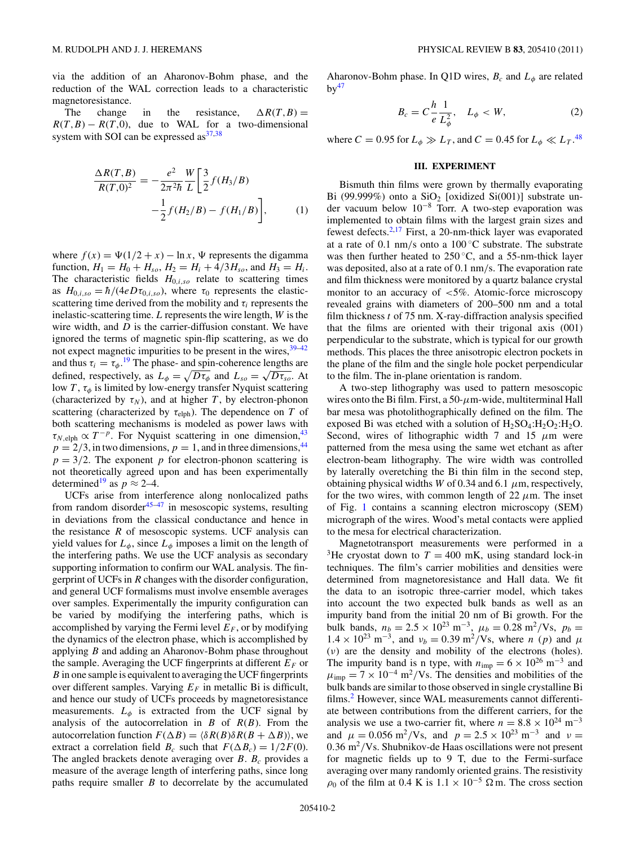<span id="page-1-0"></span>via the addition of an Aharonov-Bohm phase, and the reduction of the WAL correction leads to a characteristic magnetoresistance.

The change in the resistance,  $\Delta R(T, B) =$  $R(T, B) - R(T, 0)$ , due to WAL for a two-dimensional system with SOI can be expressed  $as^{37,38}$ 

$$
\frac{\Delta R(T,B)}{R(T,0)^2} = -\frac{e^2}{2\pi^2 \hbar} \frac{W}{L} \left[ \frac{3}{2} f(H_3/B) -\frac{1}{2} f(H_2/B) - f(H_1/B) \right],\tag{1}
$$

where  $f(x) = \Psi(1/2 + x) - \ln x$ ,  $\Psi$  represents the digamma function,  $H_1 = H_0 + H_{so}$ ,  $H_2 = H_i + 4/3H_{so}$ , and  $H_3 = H_i$ . The characteristic fields  $H_{0,i,so}$  relate to scattering times as  $H_{0,i,so} = \hbar/(4eD\tau_{0,i,so})$ , where  $\tau_0$  represents the elasticscattering time derived from the mobility and  $\tau_i$  represents the inelastic-scattering time. *L* represents the wire length, *W* is the wire width, and *D* is the carrier-diffusion constant. We have ignored the terms of magnetic spin-flip scattering, as we do not expect magnetic impurities to be present in the wires,  $39-42$ and thus  $\tau_i = \tau_{\phi}$ .<sup>[19](#page-5-0)</sup> The phase- and spin-coherence lengths are defined, respectively, as  $L_{\phi} = \sqrt{D\tau_{\phi}}$  and  $L_{so} = \sqrt{D\tau_{so}}$ . At low *T* , *τφ* is limited by low-energy transfer Nyquist scattering (characterized by  $\tau_N$ ), and at higher *T*, by electron-phonon scattering (characterized by  $\tau_{\text{elph}}$ ). The dependence on *T* of both scattering mechanisms is modeled as power laws with  $\tau_{N, \text{elph}} \propto T^{-p}$ . For Nyquist scattering in one dimension,<sup>43</sup>  $p = 2/3$ , in two dimensions,  $p = 1$ , and in three dimensions, <sup>44</sup>  $p = 3/2$ . The exponent *p* for electron-phonon scattering is not theoretically agreed upon and has been experimentally determined<sup>19</sup> as  $p \approx 2-4$ .

UCFs arise from interference along nonlocalized paths from random disorder<sup>[45–47](#page-5-0)</sup> in mesoscopic systems, resulting in deviations from the classical conductance and hence in the resistance  $R$  of mesoscopic systems. UCF analysis can yield values for  $L_{\phi}$ , since  $L_{\phi}$  imposes a limit on the length of the interfering paths. We use the UCF analysis as secondary supporting information to confirm our WAL analysis. The fingerprint of UCFs in *R* changes with the disorder configuration, and general UCF formalisms must involve ensemble averages over samples. Experimentally the impurity configuration can be varied by modifying the interfering paths, which is accomplished by varying the Fermi level  $E_F$ , or by modifying the dynamics of the electron phase, which is accomplished by applying *B* and adding an Aharonov-Bohm phase throughout the sample. Averaging the UCF fingerprints at different  $E_F$  or *B* in one sample is equivalent to averaging the UCF fingerprints over different samples. Varying  $E_F$  in metallic Bi is difficult, and hence our study of UCFs proceeds by magnetoresistance measurements.  $L_{\phi}$  is extracted from the UCF signal by analysis of the autocorrelation in *B* of *R*(*B*). From the autocorrelation function  $F(\Delta B) = \langle \delta R(B) \delta R(B + \Delta B) \rangle$ , we extract a correlation field  $B_c$  such that  $F(\Delta B_c) = 1/2F(0)$ . The angled brackets denote averaging over  $B$ .  $B_c$  provides a measure of the average length of interfering paths, since long paths require smaller *B* to decorrelate by the accumulated Aharonov-Bohm phase. In Q1D wires,  $B_c$  and  $L_\phi$  are related  $bv^{47}$ 

$$
B_c = C \frac{h}{e} \frac{1}{L_{\phi}^2}, \quad L_{\phi} < W,\tag{2}
$$

where  $C = 0.95$  for  $L_{\phi} \gg L_T$ , and  $C = 0.45$  for  $L_{\phi} \ll L_T$ .<sup>[48](#page-5-0)</sup>

### **III. EXPERIMENT**

Bismuth thin films were grown by thermally evaporating Bi (99.999%) onto a  $SiO<sub>2</sub>$  [oxidized Si(001)] substrate under vacuum below 10−<sup>8</sup> Torr. A two-step evaporation was implemented to obtain films with the largest grain sizes and fewest defects.<sup>2[,17](#page-5-0)</sup> First, a 20-nm-thick layer was evaporated at a rate of 0.1 nm*/*s onto a 100 ◦C substrate. The substrate was then further heated to  $250^{\circ}$ C, and a 55-nm-thick layer was deposited, also at a rate of 0.1 nm*/*s. The evaporation rate and film thickness were monitored by a quartz balance crystal monitor to an accuracy of *<*5%. Atomic-force microscopy revealed grains with diameters of 200–500 nm and a total film thickness *t* of 75 nm. X-ray-diffraction analysis specified that the films are oriented with their trigonal axis (001) perpendicular to the substrate, which is typical for our growth methods. This places the three anisotropic electron pockets in the plane of the film and the single hole pocket perpendicular to the film. The in-plane orientation is random.

A two-step lithography was used to pattern mesoscopic wires onto the Bi film. First, a 50-*μ*m-wide, multiterminal Hall bar mesa was photolithographically defined on the film. The exposed Bi was etched with a solution of  $H_2SO_4:H_2O_2:H_2O$ . Second, wires of lithographic width 7 and 15 *μ*m were patterned from the mesa using the same wet etchant as after electron-beam lithography. The wire width was controlled by laterally overetching the Bi thin film in the second step, obtaining physical widths *W* of 0.34 and 6.1  $\mu$ m, respectively, for the two wires, with common length of 22  $\mu$ m. The inset of Fig. [1](#page-2-0) contains a scanning electron microscopy (SEM) micrograph of the wires. Wood's metal contacts were applied to the mesa for electrical characterization.

Magnetotransport measurements were performed in a <sup>3</sup>He cryostat down to  $T = 400$  mK, using standard lock-in techniques. The film's carrier mobilities and densities were determined from magnetoresistance and Hall data. We fit the data to an isotropic three-carrier model, which takes into account the two expected bulk bands as well as an impurity band from the initial 20 nm of Bi growth. For the bulk bands,  $n_b = 2.5 \times 10^{23} \text{ m}^{-3}$ ,  $\mu_b = 0.28 \text{ m}^2/\text{Vs}$ ,  $p_b =$  $1.4 \times 10^{23}$  m<sup>-3</sup>, and  $v_b = 0.39$  m<sup>2</sup>/Vs, where *n* (*p*) and  $\mu$ (*ν*) are the density and mobility of the electrons (holes). The impurity band is n type, with  $n_{\text{imp}} = 6 \times 10^{26} \text{ m}^{-3}$  and  $\mu_{\text{imp}} = 7 \times 10^{-4} \text{ m}^2/\text{Vs}$ . The densities and mobilities of the bulk bands are similar to those observed in single crystalline Bi films.<sup>[2](#page-4-0)</sup> However, since WAL measurements cannot differentiate between contributions from the different carriers, for the analysis we use a two-carrier fit, where  $n = 8.8 \times 10^{24}$  m<sup>-3</sup> and  $\mu = 0.056 \text{ m}^2/\text{Vs}$ , and  $p = 2.5 \times 10^{23} \text{ m}^{-3}$  and  $\nu =$ 0*.*36 m2*/*Vs. Shubnikov-de Haas oscillations were not present for magnetic fields up to 9 T, due to the Fermi-surface averaging over many randomly oriented grains. The resistivity  $\rho_0$  of the film at 0.4 K is 1.1 × 10<sup>-5</sup>  $\Omega$  m. The cross section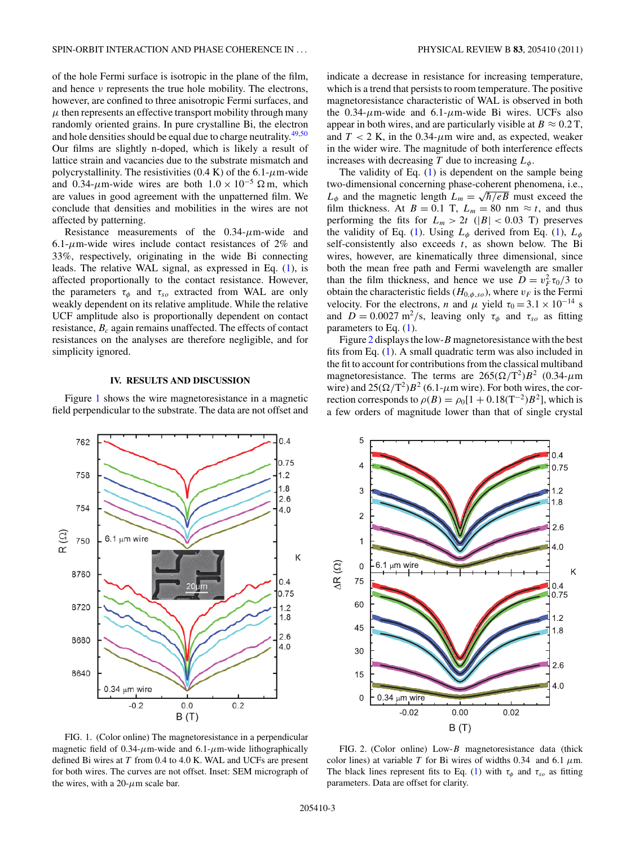<span id="page-2-0"></span>of the hole Fermi surface is isotropic in the plane of the film, and hence *ν* represents the true hole mobility. The electrons, however, are confined to three anisotropic Fermi surfaces, and  $\mu$  then represents an effective transport mobility through many randomly oriented grains. In pure crystalline Bi, the electron and hole densities should be equal due to charge neutrality. $49,50$ Our films are slightly n-doped, which is likely a result of lattice strain and vacancies due to the substrate mismatch and polycrystallinity. The resistivities  $(0.4 \text{ K})$  of the  $6.1 \text{-} \mu \text{m}$ -wide and 0.34- $\mu$ m-wide wires are both  $1.0 \times 10^{-5}$  Ω m, which are values in good agreement with the unpatterned film. We conclude that densities and mobilities in the wires are not affected by patterning.

Resistance measurements of the 0.34-*μ*m-wide and 6.1- $\mu$ m-wide wires include contact resistances of 2% and 33%, respectively, originating in the wide Bi connecting leads. The relative WAL signal, as expressed in Eq. [\(1\)](#page-1-0), is affected proportionally to the contact resistance. However, the parameters  $\tau_{\phi}$  and  $\tau_{so}$  extracted from WAL are only weakly dependent on its relative amplitude. While the relative UCF amplitude also is proportionally dependent on contact resistance, *Bc* again remains unaffected. The effects of contact resistances on the analyses are therefore negligible, and for simplicity ignored.

### **IV. RESULTS AND DISCUSSION**

Figure 1 shows the wire magnetoresistance in a magnetic field perpendicular to the substrate. The data are not offset and



The validity of Eq. [\(1\)](#page-1-0) is dependent on the sample being two-dimensional concerning phase-coherent phenomena, i.e.,  $L_{\phi}$  and the magnetic length  $L_m = \sqrt{\hbar/eB}$  must exceed the film thickness. At *B* = 0.1 T,  $L_m$  = 80 nm  $\approx t$ , and thus performing the fits for  $L_m > 2t$  ( $|B| < 0.03$  T) preserves the validity of Eq. [\(1\)](#page-1-0). Using  $L_{\phi}$  derived from Eq. (1),  $L_{\phi}$ self-consistently also exceeds *t*, as shown below. The Bi wires, however, are kinematically three dimensional, since both the mean free path and Fermi wavelength are smaller than the film thickness, and hence we use  $D = v_F^2 \tau_0/3$  to obtain the characteristic fields ( $H_{0,\phi,so}$ ), where  $v_F$  is the Fermi velocity. For the electrons, *n* and  $\mu$  yield  $\tau_0 = 3.1 \times 10^{-14}$  s and  $D = 0.0027 \text{ m}^2/\text{s}$ , leaving only  $\tau_{\phi}$  and  $\tau_{so}$  as fitting parameters to Eq. [\(1\)](#page-1-0).

Figure 2 displays the low-*B* magnetoresistance with the best fits from Eq. [\(1\)](#page-1-0). A small quadratic term was also included in the fit to account for contributions from the classical multiband magnetoresistance. The terms are  $265(\Omega/T^2)B^2$  (0.34- $\mu$ m wire) and  $25(\Omega/T^2)B^2$  (6.1- $\mu$ m wire). For both wires, the correction corresponds to  $\rho(B) = \rho_0[1 + 0.18(\text{T}^{-2})B^2]$ , which is a few orders of magnitude lower than that of single crystal





FIG. 1. (Color online) The magnetoresistance in a perpendicular magnetic field of 0.34-*μ*m-wide and 6.1-*μ*m-wide lithographically defined Bi wires at *T* from 0.4 to 4.0 K. WAL and UCFs are present for both wires. The curves are not offset. Inset: SEM micrograph of the wires, with a  $20$ - $\mu$ m scale bar.

FIG. 2. (Color online) Low-*B* magnetoresistance data (thick color lines) at variable *T* for Bi wires of widths 0.34 and 6.1  $\mu$ m. The black lines represent fits to Eq. [\(1\)](#page-1-0) with  $\tau_{\phi}$  and  $\tau_{so}$  as fitting parameters. Data are offset for clarity.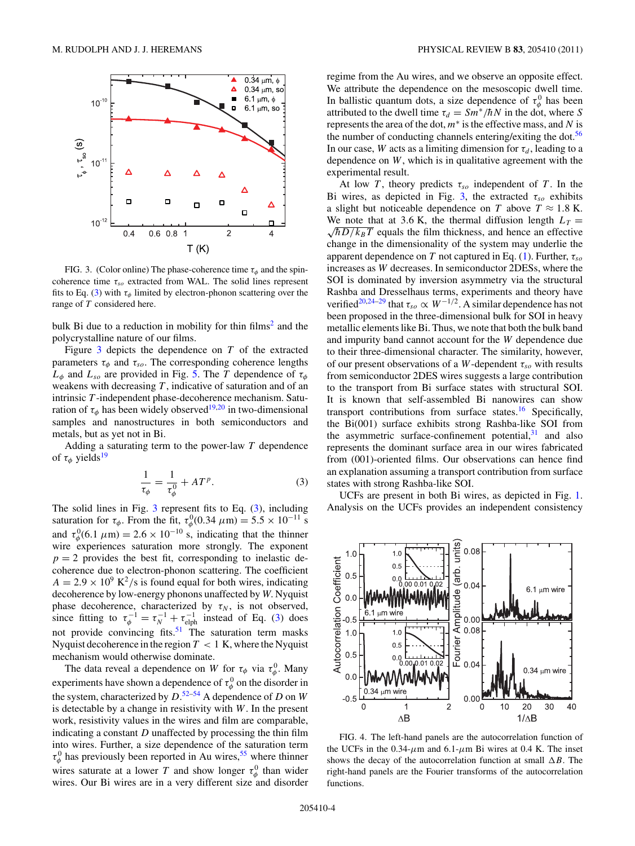<span id="page-3-0"></span>

FIG. 3. (Color online) The phase-coherence time  $\tau_{\phi}$  and the spincoherence time *τso* extracted from WAL. The solid lines represent fits to Eq. (3) with  $\tau_{\phi}$  limited by electron-phonon scattering over the range of *T* considered here.

bulk Bi due to a reduction in mobility for thin  $\text{films}^2$  $\text{films}^2$  and the polycrystalline nature of our films.

Figure 3 depicts the dependence on *T* of the extracted parameters  $\tau_{\phi}$  and  $\tau_{so}$ . The corresponding coherence lengths  $L_{\phi}$  and  $L_{so}$  are provided in Fig. [5.](#page-4-0) The *T* dependence of  $\tau_{\phi}$ weakens with decreasing *T* , indicative of saturation and of an intrinsic *T* -independent phase-decoherence mechanism. Saturation of  $\tau_{\phi}$  has been widely observed<sup>19,20</sup> in two-dimensional samples and nanostructures in both semiconductors and metals, but as yet not in Bi.

Adding a saturating term to the power-law *T* dependence of  $\tau_{\phi}$  yields<sup>[19](#page-5-0)</sup>

$$
\frac{1}{\tau_{\phi}} = \frac{1}{\tau_{\phi}^0} + AT^p. \tag{3}
$$

The solid lines in Fig. 3 represent fits to Eq. (3), including saturation for  $\tau_{\phi}$ . From the fit,  $\tau_{\phi}^0(0.34 \ \mu \text{m}) = 5.5 \times 10^{-11} \text{ s}$ and  $\tau_{\phi}^{0}(6.1 \ \mu\text{m}) = 2.6 \times 10^{-10} \text{ s, indicating that the thinner}$ wire experiences saturation more strongly. The exponent  $p = 2$  provides the best fit, corresponding to inelastic decoherence due to electron-phonon scattering. The coefficient  $A = 2.9 \times 10^9$  K<sup>2</sup>/s is found equal for both wires, indicating decoherence by low-energy phonons unaffected by *W*. Nyquist phase decoherence, characterized by  $\tau_N$ , is not observed, since fitting to  $\tau_{\phi}^{-1} = \tau_N^{-1} + \tau_{\text{elph}}^{-1}$  instead of Eq. (3) does not provide convincing fits. $51$  The saturation term masks Nyquist decoherence in the region  $T < 1$  K, where the Nyquist mechanism would otherwise dominate.

The data reveal a dependence on *W* for  $\tau_{\phi}$  via  $\tau_{\phi}^{0}$ . Many experiments have shown a dependence of  $\tau_{\phi}^{0}$  on the disorder in the system, characterized by *D*. [52–54](#page-5-0) A dependence of *D* on *W* is detectable by a change in resistivity with *W*. In the present work, resistivity values in the wires and film are comparable, indicating a constant *D* unaffected by processing the thin film into wires. Further, a size dependence of the saturation term  $\tau_{\phi}^{0}$  has previously been reported in Au wires,<sup>55</sup> where thinner wires saturate at a lower *T* and show longer  $\tau_{\phi}^{0}$  than wider wires. Our Bi wires are in a very different size and disorder

regime from the Au wires, and we observe an opposite effect. We attribute the dependence on the mesoscopic dwell time. In ballistic quantum dots, a size dependence of  $\tau_{\phi}^{0}$  has been attributed to the dwell time  $\tau_d = Sm^*/\hbar N$  in the dot, where *S* represents the area of the dot, *m*<sup>∗</sup> is the effective mass, and *N* is the number of conducting channels entering/exiting the dot.<sup>56</sup> In our case, *W* acts as a limiting dimension for  $\tau_d$ , leading to a dependence on *W*, which is in qualitative agreement with the experimental result.

At low *T*, theory predicts  $\tau_{so}$  independent of *T*. In the Bi wires, as depicted in Fig. 3, the extracted  $\tau_{so}$  exhibits a slight but noticeable dependence on *T* above  $T \approx 1.8$  K.  $\sqrt{\hbar D/k_B T}$  equals the film thickness, and hence an effective We note that at 3.6 K, the thermal diffusion length  $L_T =$ change in the dimensionality of the system may underlie the apparent dependence on *T* not captured in Eq. [\(1\)](#page-1-0). Further,  $\tau_{so}$ increases as *W* decreases. In semiconductor 2DESs, where the SOI is dominated by inversion asymmetry via the structural Rashba and Dresselhaus terms, experiments and theory have verified<sup>20,24–29</sup> that  $\tau_{so} \propto W^{-1/2}$ . A similar dependence has not been proposed in the three-dimensional bulk for SOI in heavy metallic elements like Bi. Thus, we note that both the bulk band and impurity band cannot account for the *W* dependence due to their three-dimensional character. The similarity, however, of our present observations of a *W*-dependent *τso* with results from semiconductor 2DES wires suggests a large contribution to the transport from Bi surface states with structural SOI. It is known that self-assembled Bi nanowires can show transport contributions from surface states.<sup>[16](#page-5-0)</sup> Specifically, the Bi(001) surface exhibits strong Rashba-like SOI from the asymmetric surface-confinement potential, $31$  and also represents the dominant surface area in our wires fabricated from (001)-oriented films. Our observations can hence find an explanation assuming a transport contribution from surface states with strong Rashba-like SOI.

UCFs are present in both Bi wires, as depicted in Fig. [1.](#page-2-0) Analysis on the UCFs provides an independent consistency



FIG. 4. The left-hand panels are the autocorrelation function of the UCFs in the  $0.34 - \mu m$  and  $6.1 - \mu m$  Bi wires at 0.4 K. The inset shows the decay of the autocorrelation function at small  $\Delta B$ . The right-hand panels are the Fourier transforms of the autocorrelation functions.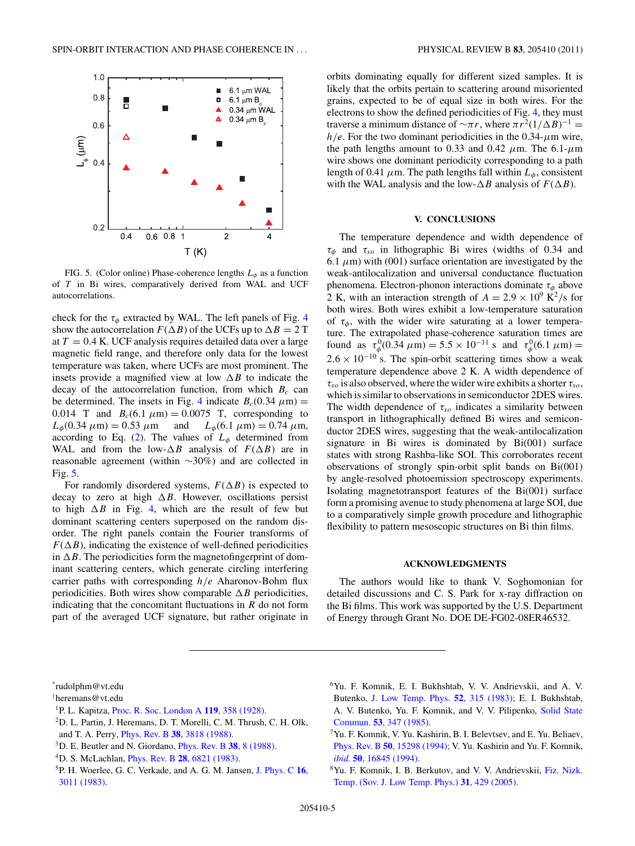<span id="page-4-0"></span>

FIG. 5. (Color online) Phase-coherence lengths  $L_{\phi}$  as a function of *T* in Bi wires, comparatively derived from WAL and UCF autocorrelations.

check for the  $\tau_{\phi}$  extracted by WAL. The left panels of Fig. [4](#page-3-0) show the autocorrelation  $F(\Delta B)$  of the UCFs up to  $\Delta B = 2$  T at  $T = 0.4$  K. UCF analysis requires detailed data over a large magnetic field range, and therefore only data for the lowest temperature was taken, where UCFs are most prominent. The insets provide a magnified view at low  $\Delta B$  to indicate the decay of the autocorrelation function, from which  $B_c$  can be determined. The insets in Fig. [4](#page-3-0) indicate  $B_c(0.34 \mu m)$  = 0.014 T and  $B_c(6.1 \mu m) = 0.0075$  T, corresponding to  $L_{\phi}(0.34 \mu m) = 0.53 \mu m$  and  $L_{\phi}(6.1 \mu m) = 0.74 \mu m$ ,  $L_{\phi}(0.34 \ \mu \text{m}) = 0.53 \ \mu \text{m}$  and according to Eq. [\(2\)](#page-1-0). The values of  $L_{\phi}$  determined from WAL and from the low- $\triangle B$  analysis of  $F(\triangle B)$  are in reasonable agreement (within ∼30%) and are collected in Fig. 5.

For randomly disordered systems,  $F(\Delta B)$  is expected to decay to zero at high  $\Delta B$ . However, oscillations persist to high  $\Delta B$  in Fig. [4,](#page-3-0) which are the result of few but dominant scattering centers superposed on the random disorder. The right panels contain the Fourier transforms of  $F(\Delta B)$ , indicating the existence of well-defined periodicities in  $\Delta B$ . The periodicities form the magnetofingerprint of dominant scattering centers, which generate circling interfering carrier paths with corresponding *h/e* Aharonov-Bohm flux periodicities. Both wires show comparable  $\Delta B$  periodicities, indicating that the concomitant fluctuations in *R* do not form part of the averaged UCF signature, but rather originate in orbits dominating equally for different sized samples. It is likely that the orbits pertain to scattering around misoriented grains, expected to be of equal size in both wires. For the electrons to show the defined periodicities of Fig. [4,](#page-3-0) they must traverse a minimum distance of  $\sim \pi r$ , where  $\pi r^2 (1/\Delta B)^{-1} =$  $h/e$ . For the two dominant periodicities in the 0.34- $\mu$ m wire, the path lengths amount to 0.33 and 0.42  $\mu$ m. The 6.1- $\mu$ m wire shows one dominant periodicity corresponding to a path length of 0.41  $\mu$ m. The path lengths fall within  $L_{\phi}$ , consistent with the WAL analysis and the low- $\Delta B$  analysis of  $F(\Delta B)$ .

#### **V. CONCLUSIONS**

The temperature dependence and width dependence of *τφ* and *τso* in lithographic Bi wires (widths of 0.34 and 6.1  $\mu$ m) with (001) surface orientation are investigated by the weak-antilocalization and universal conductance fluctuation phenomena. Electron-phonon interactions dominate *τφ* above 2 K, with an interaction strength of  $A = 2.9 \times 10^9$  K<sup>2</sup>/s for both wires. Both wires exhibit a low-temperature saturation of  $\tau_{\phi}$ , with the wider wire saturating at a lower temperature. The extrapolated phase-coherence saturation times are found as  $\tau_{\phi}^{0}(0.34 \ \mu\text{m}) = 5.5 \times 10^{-11} \text{ s}$  and  $\tau_{\phi}^{0}(6.1 \ \mu\text{m}) =$  $2.6 \times 10^{-10}$  s. The spin-orbit scattering times show a weak temperature dependence above 2 K. A width dependence of  $\tau_{so}$  is also observed, where the wider wire exhibits a shorter  $\tau_{so}$ , which is similar to observations in semiconductor 2DES wires. The width dependence of  $\tau_{so}$  indicates a similarity between transport in lithographically defined Bi wires and semiconductor 2DES wires, suggesting that the weak-antilocalization signature in Bi wires is dominated by Bi(001) surface states with strong Rashba-like SOI. This corroborates recent observations of strongly spin-orbit split bands on Bi(001) by angle-resolved photoemission spectroscopy experiments. Isolating magnetotransport features of the Bi(001) surface form a promising avenue to study phenomena at large SOI, due to a comparatively simple growth procedure and lithographic flexibility to pattern mesoscopic structures on Bi thin films.

# **ACKNOWLEDGMENTS**

The authors would like to thank V. Soghomonian for detailed discussions and C. S. Park for x-ray diffraction on the Bi films. This work was supported by the U.S. Department of Energy through Grant No. DOE DE-FG02-08ER46532.

- 2D. L. Partin, J. Heremans, D. T. Morelli, C. M. Thrush, C. H. Olk, and T. A. Perry, Phys. Rev. B **38**[, 3818 \(1988\).](http://dx.doi.org/10.1103/PhysRevB.38.3818)
- 3D. E. Beutler and N. Giordano, [Phys. Rev. B](http://dx.doi.org/10.1103/PhysRevB.38.8) **38**, 8 (1988).

6Yu. F. Komnik, E. I. Bukhshtab, V. V. Andrievskii, and A. V. Butenko, [J. Low Temp. Phys.](http://dx.doi.org/10.1007/BF00682253) **52**, 315 (1983); E. I. Bukhshtab, A. V. Butenko, Yu. F. Komnik, and V. V. Pilipenko, [Solid State](http://dx.doi.org/10.1016/0038-1098(85)90983-4) Commun. **53**[, 347 \(1985\).](http://dx.doi.org/10.1016/0038-1098(85)90983-4)

8Yu. F. Komnik, I. B. Berkutov, and V. V. Andrievskii, [Fiz. Nizk.](http://dx.doi.org/10.1063/1.1884436) [Temp. \(Sov. J. Low Temp. Phys.\)](http://dx.doi.org/10.1063/1.1884436) **31**, 429 (2005).

<sup>\*</sup> rudolphm@vt.edu

<sup>†</sup> heremans@vt.edu

<sup>1</sup>P. L. Kapitza, [Proc. R. Soc. London A](http://dx.doi.org/10.1098/rspa.1928.0103) **119**, 358 (1928).

<sup>4</sup>D. S. McLachlan, Phys. Rev. B **28**[, 6821 \(1983\).](http://dx.doi.org/10.1103/PhysRevB.28.6821)

<sup>5</sup>P. H. Woerlee, G. C. Verkade, and A. G. M. Jansen, [J. Phys. C](http://dx.doi.org/10.1088/0022-3719/16/15/021) **16**, [3011 \(1983\).](http://dx.doi.org/10.1088/0022-3719/16/15/021)

 $7$ Yu. F. Komnik, V. Yu. Kashirin, B. I. Belevtsev, and E. Yu. Beliaev, Phys. Rev. B **50**[, 15298 \(1994\);](http://dx.doi.org/10.1103/PhysRevB.50.15298) V. Yu. Kashirin and Yu. F. Komnik, *ibid.* **50**[, 16845 \(1994\).](http://dx.doi.org/10.1103/PhysRevB.50.16845)